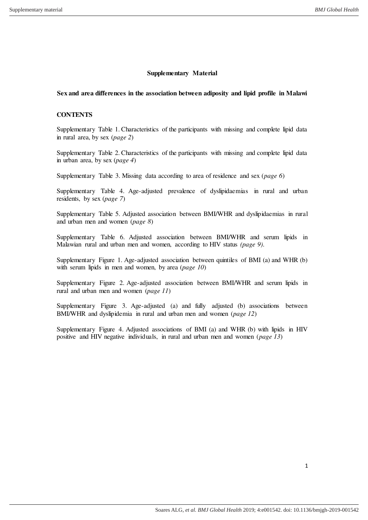## **Supplementary Material**

### **Sex and area differences in the association between adiposity and lipid profile in Malawi**

# **CONTENTS**

Supplementary Table 1. Characteristics of the participants with missing and complete lipid data in rural area, by sex (*page 2*)

Supplementary Table 2. Characteristics of the participants with missing and complete lipid data in urban area, by sex (*page 4*)

Supplementary Table 3. Missing data according to area of residence and sex (*page 6*)

Supplementary Table 4. Age-adjusted prevalence of dyslipidaemias in rural and urban residents, by sex (*page 7*)

Supplementary Table 5. Adjusted association between BMI/WHR and dyslipidaemias in rural and urban men and women (*page 8*)

Supplementary Table 6. Adjusted association between BMI/WHR and serum lipids in Malawian rural and urban men and women, according to HIV status *(page 9)*.

Supplementary Figure 1. Age-adjusted association between quintiles of BMI (a) and WHR (b) with serum lipids in men and women, by area (*page 10*)

Supplementary Figure 2. Age-adjusted association between BMI/WHR and serum lipids in rural and urban men and women (*page 11*)

Supplementary Figure 3. Age-adjusted (a) and fully adjusted (b) associations between BMI/WHR and dyslipidemia in rural and urban men and women (*page 12*)

Supplementary Figure 4. Adjusted associations of BMI (a) and WHR (b) with lipids in HIV positive and HIV negative individuals, in rural and urban men and women (*page 13*)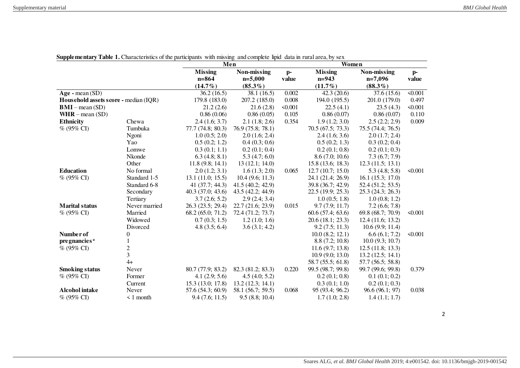|                                       |                | Men<br>Women      |                   |         |                      |                   |              |
|---------------------------------------|----------------|-------------------|-------------------|---------|----------------------|-------------------|--------------|
|                                       |                | <b>Missing</b>    | Non-missing       | $p-$    | <b>Missing</b>       | Non-missing       | $p-$         |
|                                       |                | $n = 864$         | $n=5,000$         | value   | $n=943$              | $n=7,096$         | value        |
|                                       |                | $(14.7\%)$        | $(85.3\%)$        |         | $(11.7\%)$           | $(88.3\%)$        |              |
| $Age - mean (SD)$                     |                | 36.2(16.5)        | 38.1(16.5)        | 0.002   | 42.3(20.6)           | 37.6 (15.6)       | < 0.001      |
| Household assets score - median (IQR) |                | 179.8 (183.0)     | 207.2 (185.0)     | 0.008   | 194.0 (195.5)        | 201.0 (179.0)     | 0.497        |
| $BMI - mean (SD)$                     |                | 21.2(2.6)         | 21.6(2.8)         | < 0.001 | 22.5(4.1)            | 23.5(4.3)         | < 0.001      |
| $WHR - mean (SD)$                     |                | 0.86(0.06)        | 0.86(0.05)        | 0.105   | 0.86(0.07)           | 0.86(0.07)        | 0.110        |
| <b>Ethnicity</b>                      | Chewa          | 2.4(1.6; 3.7)     | 2.1(1.8; 2.6)     | 0.354   | 1.9(1.2; 3.0)        | 2.5(2.2; 2.9)     | 0.009        |
| % (95% CI)                            | Tumbuka        | 77.7(74.8; 80.3)  | 76.9 (75.8; 78.1) |         | 70.5 (67.5; 73.3)    | 75.5 (74.4; 76.5) |              |
|                                       | Ngoni          | 1.0(0.5; 2.0)     | 2.0(1.6; 2.4)     |         | 2.4(1.6; 3.6)        | 2.0(1.7; 2.4)     |              |
|                                       | Yao            | 0.5(0.2; 1.2)     | 0.4(0.3; 0.6)     |         | 0.5(0.2; 1.3)        | 0.3(0.2; 0.4)     |              |
|                                       | Lomwe          | 0.3(0.1; 1.1)     | 0.2(0.1; 0.4)     |         | 0.2(0.1; 0.8)        | 0.2(0.1; 0.3)     |              |
|                                       | Nkonde         | 6.3(4.8; 8.1)     | 5.3(4.7; 6.0)     |         | 8.6(7.0; 10.6)       | 7.3(6.7; 7.9)     |              |
|                                       | Other          | 11.8(9.8; 14.1)   | 13(12.1; 14.0)    |         | 15.8(13.6; 18.3)     | 12.3(11.5; 13.1)  |              |
| <b>Education</b>                      | No formal      | 2.0(1.2; 3.1)     | 1.6(1.3; 2.0)     | 0.065   | 12.7(10.7; 15.0)     | 5.3(4.8; 5.8)     | < 0.001      |
| % (95% CI)                            | Standard 1-5   | 13.1(11.0; 15.5)  | 10.4(9.6; 11.3)   |         | 24.1 (21.4; 26.9)    | 16.1(15.3; 17.0)  |              |
|                                       | Standard 6-8   | 41 (37.7; 44.3)   | 41.5(40.2; 42.9)  |         | 39.8 (36.7; 42.9)    | 52.4 (51.2; 53.5) |              |
|                                       | Secondary      | 40.3 (37.0; 43.6) | 43.5 (42.2; 44.9) |         | 22.5(19.9; 25.3)     | 25.3(24.3; 26.3)  |              |
|                                       | Tertiary       | 3.7(2.6; 5.2)     | 2.9(2.4; 3.4)     |         | 1.0(0.5; 1.8)        | 1.0(0.8; 1.2)     |              |
| <b>Marital status</b>                 | Never married  | 26.3 (23.5; 29.4) | 22.7 (21.6; 23.9) | 0.015   | 9.7(7.9; 11.7)       | 7.2(6.6; 7.8)     |              |
| $\%$ (95% CI)                         | Married        | 68.2(65.0; 71.2)  | 72.4 (71.2; 73.7) |         | 60.6(57.4; 63.6)     | 69.8 (68.7; 70.9) | < 0.001      |
|                                       | Widowed        | 0.7(0.3; 1.5)     | 1.2(1.0; 1.6)     |         | 20.6 (18.1; 23.3)    | 12.4(11.6; 13.2)  |              |
|                                       | Divorced       | 4.8(3.5; 6.4)     | 3.6(3.1; 4.2)     |         | 9.2(7.5; 11.3)       | 10.6(9.9; 11.4)   |              |
| Number of                             | 0              |                   |                   |         | $10.0$ $(8.2; 12.1)$ | 6.6(6.1; 7.2)     | $\leq 0.001$ |
| pregnancies <sup>a</sup>              |                |                   |                   |         | 8.8(7.2; 10.8)       | 10.0(9.3; 10.7)   |              |
| $% (95\% CI)$                         | $\frac{2}{3}$  |                   |                   |         | 11.6(9.7; 13.8)      | 12.5(11.8; 13.3)  |              |
|                                       |                |                   |                   |         | 10.9(9.0; 13.0)      | 13.2(12.5; 14.1)  |              |
|                                       | $4+$           |                   |                   |         | 58.7 (55.5; 61.8)    | 57.7 (56.5; 58.8) |              |
| <b>Smoking status</b>                 | Never          | 80.7 (77.9; 83.2) | 82.3 (81.2; 83.3) | 0.220   | 99.5 (98.7; 99.8)    | 99.7 (99.6; 99.8) | 0.379        |
| % (95% CI)                            | Former         | 4.1(2.9; 5.6)     | 4.5(4.0; 5.2)     |         | 0.2(0.1; 0.8)        | 0.1(0.1; 0.2)     |              |
|                                       | Current        | 15.3(13.0; 17.8)  | 13.2(12.3; 14.1)  |         | 0.3(0.1; 1.0)        | 0.2(0.1; 0.3)     |              |
| <b>Alcohol</b> intake                 | Never          | 57.6 (54.3; 60.9) | 58.1 (56.7; 59.5) | 0.068   | 95 (93.4; 96.2)      | 96.6(96.1; 97)    | 0.038        |
| % (95% CI)                            | $\leq 1$ month | 9.4(7.6; 11.5)    | 9.5(8.8; 10.4)    |         | 1.7(1.0; 2.8)        | 1.4(1.1; 1.7)     |              |

**Supplementary Table 1.** Characteristics of the participants with missing and complete lipid data in rural area, by sex

2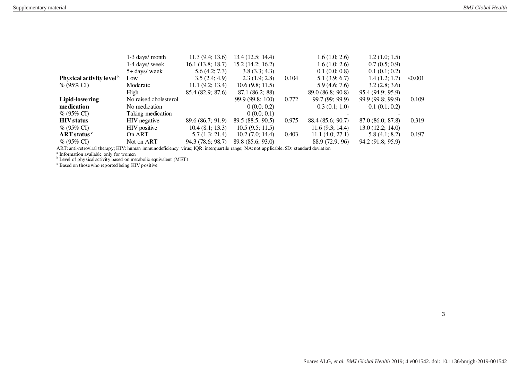|                                      | 1-3 days/ month       | 11.3(9.4; 13.6)   | 13.4(12.5; 14.4)  |       | 1.6(1.0; 2.6)     | 1.2(1.0; 1.5)     |              |
|--------------------------------------|-----------------------|-------------------|-------------------|-------|-------------------|-------------------|--------------|
|                                      | 1-4 days/ week        | 16.1(13.8; 18.7)  | 15.2(14.2; 16.2)  |       | 1.6(1.0; 2.6)     | 0.7(0.5; 0.9)     |              |
|                                      | 5+ days/ week         | 5.6(4.2; 7.3)     | 3.8(3.3; 4.3)     |       | 0.1(0.0; 0.8)     | 0.1(0.1; 0.2)     |              |
| Physical activity level <sup>b</sup> | Low                   | 3.5(2.4; 4.9)     | 2.3(1.9; 2.8)     | 0.104 | 5.1(3.9; 6.7)     | 1.4(1.2; 1.7)     | $\leq 0.001$ |
| $\%$ (95% CI)                        | Moderate              | 11.1(9.2; 13.4)   | 10.6(9.8; 11.5)   |       | 5.9(4.6; 7.6)     | 3.2(2.8; 3.6)     |              |
|                                      | High                  | 85.4 (82.9; 87.6) | 87.1 (86.2; 88)   |       | 89.0(86.8; 90.8)  | 95.4(94.9; 95.9)  |              |
| Lipid-lowering                       | No raised cholesterol |                   | 99.9 (99.8; 100)  | 0.772 | 99.7 (99; 99.9)   | 99.9 (99.8; 99.9) | 0.109        |
| medication                           | No medication         |                   | 0(0.0; 0.2)       |       | 0.3(0.1; 1.0)     | 0.1(0.1; 0.2)     |              |
| $\%$ (95% CI)                        | Taking medication     |                   | 0(0.0; 0.1)       |       |                   |                   |              |
| <b>HIV</b> status                    | HIV negative          | 89.6 (86.7; 91.9) | 89.5(88.5; 90.5)  | 0.975 | 88.4 (85.6; 90.7) | 87.0(86.0; 87.8)  | 0.319        |
| $\%$ (95% CI)                        | HIV positive          | 10.4(8.1; 13.3)   | 10.5(9.5; 11.5)   |       | 11.6(9.3; 14.4)   | 13.0(12.2; 14.0)  |              |
| $ART$ status $c$                     | On ART                | 5.7(1.3; 21.4)    | 10.2(7.0; 14.4)   | 0.403 | 11.1 (4.0; 27.1)  | 5.8(4.1; 8.2)     | 0.197        |
| $\%$ (95% CI)                        | Not on ART            | 94.3 (78.6; 98.7) | 89.8 (85.6; 93.0) |       | 88.9 (72.9; 96)   | 94.2 (91.8; 95.9) |              |

ART: anti-retroviral therapy; HIV: human immunodeficiency virus; IQR: interquartile range; NA: not applicable; SD: standard deviation available only for women<br><sup>a</sup> Information available only for women<br><sup>b</sup> Level of physical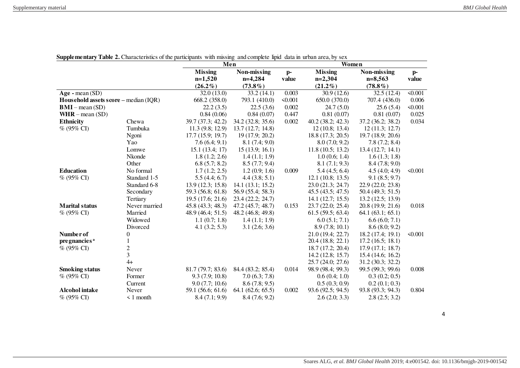|                                       |                | Men<br>Women      |                   |         |                   |                   |                |
|---------------------------------------|----------------|-------------------|-------------------|---------|-------------------|-------------------|----------------|
|                                       |                | <b>Missing</b>    | Non-missing       | $p-$    | <b>Missing</b>    | Non-missing       | $p-$           |
|                                       |                | $n=1,520$         | $n=4,284$         | value   | $n=2,304$         | $n=8,563$         | value          |
|                                       |                | $(26.2\%)$        | $(73.8\%)$        |         | $(21.2\%)$        | $(78.8\%)$        |                |
| $Age - mean (SD)$                     |                | 32.0(13.0)        | 33.2(14.1)        | 0.003   | 30.9(12.6)        | 32.5(12.4)        | $\sqrt{0.001}$ |
| Household assets score - median (IQR) |                | 668.2 (358.0)     | 793.1 (410.0)     | < 0.001 | 650.0 (370.0)     | 707.4 (436.0)     | 0.006          |
| $BMI$ – mean (SD)                     |                | 22.2(3.5)         | 22.5(3.6)         | 0.002   | 24.7(5.0)         | 25.6(5.4)         | < 0.001        |
| $WHR - mean (SD)$                     |                | 0.84(0.06)        | 0.84(0.07)        | 0.447   | 0.81(0.07)        | 0.81(0.07)        | 0.025          |
| <b>Ethnicity</b>                      | Chewa          | 39.7 (37.3; 42.2) | 34.2 (32.8; 35.6) | 0.002   | 40.2(38.2; 42.3)  | 37.2 (36.2; 38.2) | 0.034          |
| $% (95\% CI)$                         | Tumbuka        | 11.3(9.8; 12.9)   | 13.7 (12.7; 14.8) |         | 12(10.8; 13.4)    | 12(11.3; 12.7)    |                |
|                                       | Ngoni          | 17.7(15.9; 19.7)  | 19(17.9; 20.2)    |         | 18.8 (17.3; 20.5) | 19.7 (18.9; 20.6) |                |
|                                       | Yao            | 7.6(6.4; 9.1)     | 8.1(7.4; 9.0)     |         | 8.0(7.0; 9.2)     | 7.8(7.2; 8.4)     |                |
|                                       | Lomwe          | 15.1(13.4; 17)    | 15(13.9; 16.1)    |         | 11.8(10.5; 13.2)  | 13.4(12.7; 14.1)  |                |
|                                       | Nkonde         | 1.8(1.2; 2.6)     | 1.4(1.1; 1.9)     |         | 1.0(0.6; 1.4)     | 1.6(1.3; 1.8)     |                |
|                                       | Other          | 6.8(5.7; 8.2)     | 8.5(7.7; 9.4)     |         | 8.1(7.1; 9.3)     | 8.4(7.8; 9.0)     |                |
| <b>Education</b>                      | No formal      | 1.7(1.2; 2.5)     | 1.2(0.9; 1.6)     | 0.009   | 5.4(4.5; 6.4)     | 4.5(4.0; 4.9)     | < 0.001        |
| $% (95\% CI)$                         | Standard 1-5   | 5.5(4.4; 6.7)     | 4.4(3.8; 5.1)     |         | 12.1(10.8; 13.5)  | 9.1(8.5; 9.7)     |                |
|                                       | Standard 6-8   | 13.9(12.3; 15.8)  | 14.1(13.1; 15.2)  |         | 23.0 (21.3; 24.7) | 22.9 (22.0; 23.8) |                |
|                                       | Secondary      | 59.3 (56.8; 61.8) | 56.9 (55.4; 58.3) |         | 45.5(43.5; 47.5)  | 50.4(49.3; 51.5)  |                |
|                                       | Tertiary       | 19.5(17.6; 21.6)  | 23.4 (22.2; 24.7) |         | 14.1(12.7; 15.5)  | 13.2(12.5; 13.9)  |                |
| <b>Marital status</b>                 | Never married  | 45.8(43.3; 48.3)  | 47.2 (45.7; 48.7) | 0.153   | 23.7 (22.0; 25.4) | 20.8 (19.9; 21.6) | 0.018          |
| % (95% CI)                            | Married        | 48.9 (46.4; 51.5) | 48.2 (46.8; 49.8) |         | 61.5(59.5; 63.4)  | 64.1(63.1; 65.1)  |                |
|                                       | Widowed        | 1.1(0.7; 1.8)     | 1.4(1.1; 1.9)     |         | 6.0(5.1; 7.1)     | 6.6(6.0; 7.1)     |                |
|                                       | Divorced       | 4.1 (3.2; 5.3)    | 3.1(2.6; 3.6)     |         | 8.9(7.8; 10.1)    | 8.6(8.0; 9.2)     |                |
| Number of                             | 0              |                   |                   |         | 21.0 (19.4; 22.7) | 18.2 (17.4; 19.1) | < 0.001        |
| pregnancies <sup>a</sup>              |                |                   |                   |         | 20.4 (18.8; 22.1) | 17.2(16.5; 18.1)  |                |
| $% (95\% CI)$                         | 2              |                   |                   |         | 18.7(17.2; 20.4)  | 17.9(17.1; 18.7)  |                |
|                                       | 3              |                   |                   |         | 14.2(12.8; 15.7)  | 15.4 (14.6; 16.2) |                |
|                                       | $4+$           |                   |                   |         | 25.7 (24.0; 27.6) | 31.2(30.3; 32.2)  |                |
| <b>Smoking status</b>                 | Never          | 81.7(79.7; 83.6)  | 84.4 (83.2; 85.4) | 0.014   | 98.9 (98.4; 99.3) | 99.5 (99.3; 99.6) | 0.008          |
| % (95% CI)                            | Former         | 9.3(7.9; 10.8)    | 7.0(6.3; 7.8)     |         | 0.6(0.4; 1.0)     | 0.3(0.2; 0.5)     |                |
|                                       | Current        | 9.0(7.7; 10.6)    | 8.6(7.8; 9.5)     |         | 0.5(0.3; 0.9)     | 0.2(0.1; 0.3)     |                |
| <b>Alcohol</b> intake                 | Never          | 59.1 (56.6; 61.6) | 64.1(62.6; 65.5)  | 0.002   | 93.6 (92.5; 94.5) | 93.8 (93.3; 94.3) | 0.804          |
| $% (95\% CI)$                         | $\leq 1$ month | 8.4(7.1; 9.9)     | 8.4(7.6; 9.2)     |         | 2.6(2.0; 3.3)     | 2.8(2.5; 3.2)     |                |

**Supplementary Table 2.** Characteristics of the participants with missing and complete lipid data in urban area, by sex

4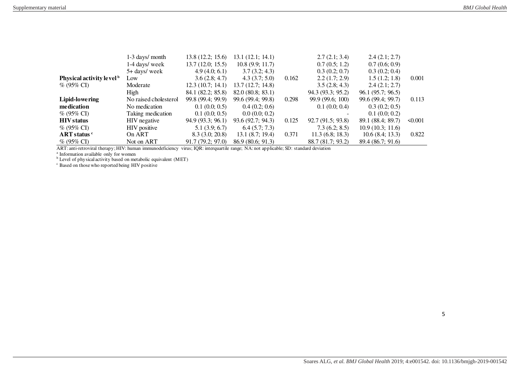|                                      | 1-3 days/ month       | 13.8(12.2; 15.6)  | 13.1(12.1; 14.1)  |       | 2.7(2.1; 3.4)     | 2.4(2.1; 2.7)     |              |
|--------------------------------------|-----------------------|-------------------|-------------------|-------|-------------------|-------------------|--------------|
|                                      | 1-4 days/ week        | 13.7(12.0; 15.5)  | 10.8(9.9; 11.7)   |       | 0.7(0.5; 1.2)     | 0.7(0.6; 0.9)     |              |
|                                      | 5+ days/ week         | 4.9(4.0; 6.1)     | 3.7(3.2; 4.3)     |       | 0.3(0.2; 0.7)     | 0.3(0.2; 0.4)     |              |
| Physical activity level <sup>b</sup> | Low                   | 3.6(2.8; 4.7)     | 4.3(3.7; 5.0)     | 0.162 | 2.2(1.7; 2.9)     | 1.5(1.2; 1.8)     | 0.001        |
| $\%$ (95% CI)                        | Moderate              | 12.3(10.7; 14.1)  | 13.7(12.7; 14.8)  |       | 3.5(2.8; 4.3)     | 2.4(2.1; 2.7)     |              |
|                                      | High                  | 84.1 (82.2; 85.8) | 82.0(80.8; 83.1)  |       | 94.3 (93.3; 95.2) | 96.1 (95.7; 96.5) |              |
| Lipid-lowering                       | No raised cholesterol | 99.8 (99.4; 99.9) | 99.6 (99.4; 99.8) | 0.298 | 99.9 (99.6; 100)  | 99.6 (99.4; 99.7) | 0.113        |
| medication                           | No medication         | 0.1(0.0; 0.5)     | 0.4(0.2; 0.6)     |       | 0.1(0.0; 0.4)     | 0.3(0.2; 0.5)     |              |
| $\%$ (95% CI)                        | Taking medication     | 0.1(0.0; 0.5)     | 0.0(0.0; 0.2)     |       |                   | 0.1(0.0; 0.2)     |              |
| <b>HIV</b> status                    | HIV negative          | 94.9(93.3; 96.1)  | 93.6(92.7; 94.3)  | 0.125 | 92.7(91.5; 93.8)  | 89.1 (88.4; 89.7) | $\leq 0.001$ |
| $\%$ (95% CI)                        | HIV positive          | 5.1(3.9; 6.7)     | 6.4(5.7; 7.3)     |       | 7.3(6.2; 8.5)     | 10.9(10.3; 11.6)  |              |
| ART status c                         | On ART                | 8.3(3.0; 20.8)    | 13.1(8.7; 19.4)   | 0.371 | 11.3(6.8; 18.3)   | 10.6(8.4; 13.3)   | 0.822        |
| $\%$ (95% CI)                        | Not on ART            | 91.7(79.2; 97.0)  | 86.9(80.6; 91.3)  |       | 88.7 (81.7; 93.2) | 89.4 (86.7; 91.6) |              |

ART: anti-retroviral therapy; HIV: human immunodeficiency virus; IQR: interquartile range; NA: not applicable; SD: standard deviation available only for women<br><sup>a</sup> Information available only for women<br><sup>b</sup> Level of physical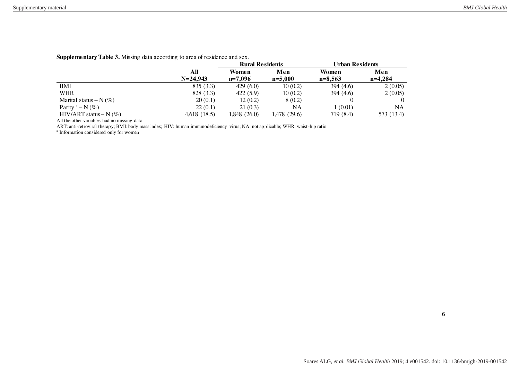|                            |              | <b>Rural Residents</b> |              | <b>Urban Residents</b> |            |
|----------------------------|--------------|------------------------|--------------|------------------------|------------|
|                            | All          | Women                  | Men          | Women                  | Men        |
|                            | $N = 24.943$ | $n=7.096$              | $n=5.000$    | $n=8.563$              | $n=4.284$  |
| BMI                        | 835(3.3)     | 429(6.0)               | 10(0.2)      | 394 $(4.6)$            | 2(0.05)    |
| WHR                        | 828 (3.3)    | 422(5.9)               | 10 (0.2)     | 394 $(4.6)$            | 2(0.05)    |
| Marital status – $N(\%)$   | 20(0.1)      | 12(0.2)                | 8(0.2)       |                        |            |
| Parity $a - N(\%)$         | 22(0.1)      | 21(0.3)                | NΑ           | 1 (0.01)               | NA         |
| HIV/ART status – N $(\% )$ | 4.618 (18.5) | 1,848 (26.0)           | 1,478 (29.6) | 719 (8.4)              | 573 (13.4) |

#### **Supplementary Table 3.** Missing data according to area of residence and sex.

All the other variables had no missing data.

ART: anti-retroviral therapy; BMI: body mass index; HIV: human immunodeficiency virus; NA: not applicable; WHR: waist-hip ratio

a Information considered only for women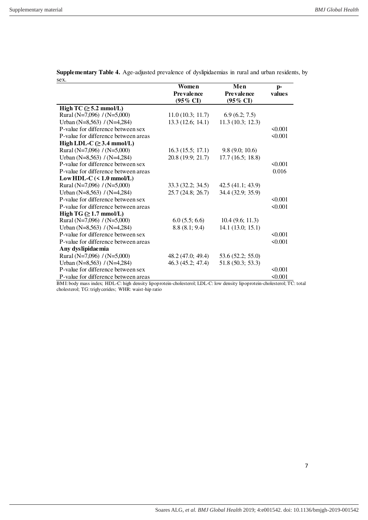|                                        | Women               | Men                 | $p-$         |
|----------------------------------------|---------------------|---------------------|--------------|
|                                        | Prevalence          | <b>Prevalence</b>   | values       |
|                                        | $(95\% \text{ CI})$ | $(95\% \text{ CI})$ |              |
| High TC $(\geq 5.2 \text{ mmol/L})$    |                     |                     |              |
| Rural (N=7,096) $/(N=5,000)$           | 11.0(10.3; 11.7)    | 6.9(6.2; 7.5)       |              |
| Urban (N=8,563) / (N=4,284)            | 13.3(12.6; 14.1)    | 11.3(10.3; 12.3)    |              |
| P-value for difference between sex     |                     |                     | 50.001       |
| P-value for difference between areas   |                     |                     | < 0.001      |
| High LDL-C $(\geq 3.4 \text{ mmol/L})$ |                     |                     |              |
| Rural (N=7,096) $/(N=5,000)$           | 16.3(15.5; 17.1)    | 9.8(9.0; 10.6)      |              |
| Urban (N=8,563) / (N=4,284)            | 20.8(19.9; 21.7)    | 17.7(16.5; 18.8)    |              |
| P-value for difference between sex     |                     |                     | 50.001       |
| P-value for difference between areas   |                     |                     | 0.016        |
| Low HDL-C $(< 1.0$ mmol/L)             |                     |                     |              |
| Rural (N=7,096) $/(N=5,000)$           | 33.3(32.2; 34.5)    | 42.5 (41.1; 43.9)   |              |
| Urban (N=8,563) / (N=4,284)            | 25.7(24.8; 26.7)    | 34.4 (32.9; 35.9)   |              |
| P-value for difference between sex     |                     |                     | 50.001       |
| P-value for difference between areas   |                     |                     | < 0.001      |
| High TG $(\geq 1.7 \text{ mmol/L})$    |                     |                     |              |
| Rural (N=7,096) $/(N=5,000)$           | 6.0(5.5; 6.6)       | 10.4(9.6; 11.3)     |              |
| Urban (N=8,563) / (N=4,284)            | 8.8(8.1; 9.4)       | 14.1(13.0; 15.1)    |              |
| P-value for difference between sex     |                     |                     | $\leq 0.001$ |
| P-value for difference between areas   |                     |                     | 50.001       |
| Any dyslipidaemia                      |                     |                     |              |
| Rural (N=7,096) / (N=5,000)            | 48.2(47.0; 49.4)    | 53.6(52.2; 55.0)    |              |
| Urban (N=8,563) / (N=4,284)            | 46.3(45.2; 47.4)    | 51.8 (50.3; 53.3)   |              |
| P-value for difference between sex     |                     |                     | 50.001       |
| P-value for difference between areas   |                     |                     | $\leq 0.001$ |

**Supplementary Table 4.** Age-adjusted prevalence of dyslipidaemias in rural and urban residents, by sex.

BMI: body mass index; HDL-C: high density lipoprotein-cholesterol; LDL-C: low density lipoprotein-cholesterol; TC: total cholesterol; TG: triglycerides; WHR: waist-hip ratio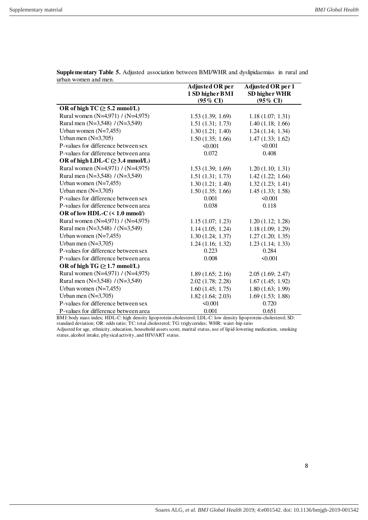|                                              | Adjusted OR per     | Adjusted OR per 1   |
|----------------------------------------------|---------------------|---------------------|
|                                              | 1 SD higher BMI     | SD higher WHR       |
|                                              | $(95\% \text{ CI})$ | $(95\% \text{ CI})$ |
| OR of high TC $(\geq 5.2 \text{ mmol/L})$    |                     |                     |
| Rural women (N=4,971) / (N=4,975)            | 1.53(1.39; 1.69)    | 1.18(1.07; 1.31)    |
| Rural men (N=3,548) / (N=3,549)              | 1.51(1.31; 1.73)    | 1.40(1.18; 1.66)    |
| Urban women $(N=7,455)$                      | 1.30(1.21; 1.40)    | 1.24(1.14; 1.34)    |
| Urban men $(N=3,705)$                        | 1.50(1.35; 1.66)    | 1.47(1.33; 1.62)    |
| P-values for difference between sex          | < 0.001             | < 0.001             |
| P-values for difference between area         | 0.072               | 0.408               |
| OR of high LDL-C $(\geq 3.4 \text{ mmol/L})$ |                     |                     |
| Rural women (N=4,971) / (N=4,975)            | 1.53(1.39; 1.69)    | 1.20(1.10; 1.31)    |
| Rural men (N=3,548) / (N=3,549)              | 1.51(1.31; 1.73)    | 1.42(1.22; 1.64)    |
| Urban women $(N=7,455)$                      | 1.30(1.21; 1.40)    | 1.32(1.23; 1.41)    |
| Urban men $(N=3,705)$                        | 1.50(1.35; 1.66)    | 1.45(1.33; 1.58)    |
| P-values for difference between sex          | 0.001               | < 0.001             |
| P-values for difference between area         | 0.038               | 0.118               |
| OR of low HDL-C $(< 1.0$ mmol/)              |                     |                     |
| Rural women (N=4,971) / (N=4,975)            | 1.15(1.07; 1.23)    | 1.20(1.12; 1.28)    |
| Rural men (N=3,548) / (N=3,549)              | 1.14(1.05; 1.24)    | 1.18(1.09; 1.29)    |
| Urban women $(N=7,455)$                      | 1.30(1.24; 1.37)    | 1.27(1.20; 1.35)    |
| Urban men $(N=3,705)$                        | 1.24(1.16; 1.32)    | 1.23(1.14; 1.33)    |
| P-values for difference between sex          | 0.223               | 0.284               |
| P-values for difference between area         | 0.008               | $\leq 0.001$        |
| OR of high TG $(\geq 1.7 \text{ mmol/L})$    |                     |                     |
| Rural women (N=4,971) / (N=4,975)            | 1.89(1.65; 2.16)    | 2.05(1.69; 2.47)    |
| Rural men (N=3,548) / (N=3,549)              | 2.02(1.78; 2.28)    | 1.67(1.45; 1.92)    |
| Urban women $(N=7,455)$                      | 1.60(1.45; 1.75)    | 1.80(1.63; 1.99)    |
| Urban men $(N=3,705)$                        | 1.82(1.64; 2.03)    | 1.69(1.53; 1.88)    |
| P-values for difference between sex          | $\leq 0.001$        | 0.720               |
| P-values for difference between area         | 0.001               | 0.651               |

**Supplementary Table 5.** Adjusted association between BMI/WHR and dyslipidaemias in rural and urban women and men.

BMI: body mass index; HDL-C: high density lipoprotein-cholesterol; LDL-C: low density lipoprotein-cholesterol; SD: standard deviation; OR: odds ratio; TC: total cholesterol; TG: triglycerides; WHR: waist-hip ratio

Adjusted for age, ethnicity, education, household assets score, marital status, use of lipid-lowering medication, smoking status, alcohol intake, physical activity, and HIV/ART status.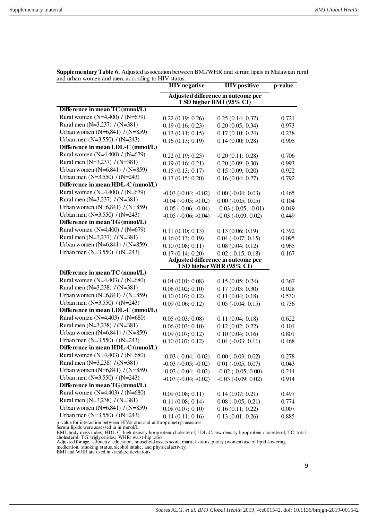|                                                                                                          | <b>HIV</b> negative                                            | <b>HIV</b> positive                | p-value |
|----------------------------------------------------------------------------------------------------------|----------------------------------------------------------------|------------------------------------|---------|
|                                                                                                          | Adjusted difference in outcome per<br>1 SD higher BMI (95% CI) |                                    |         |
| Difference in mean TC (mmol/L)                                                                           |                                                                |                                    |         |
| Rural women (N=4,400) / (N=679)                                                                          | 0.22(0.19; 0.26)                                               | 0.25(0.14; 0.37)                   | 0.721   |
| Rural men (N=3,237) / (N=381)                                                                            | 0.19(0.16; 0.23)                                               | 0.20(0.05; 0.34)                   | 0.973   |
| Urban women (N=6,841) / (N=859)                                                                          | 0.13(0.11; 0.15)                                               | 0.17(0.10; 0.24)                   | 0.238   |
| Urban men $(N=3,550) / (N=243)$                                                                          | 0.16(0.13; 0.19)                                               | 0.14(0.00; 0.28)                   | 0.905   |
| Difference in mean LDL-C (mmol/L)                                                                        |                                                                |                                    |         |
| Rural women (N=4,400) / (N=679)                                                                          | 0.22(0.19; 0.25)                                               | 0.20(0.11; 0.28)                   | 0.706   |
| Rural men (N=3,237) / (N=381)                                                                            | 0.19(0.16; 0.21)                                               | 0.20(0.09; 0.30)                   | 0.993   |
| Urban women (N=6,841) / (N=859)                                                                          | 0.15(0.13; 0.17)                                               | 0.15(0.09; 0.20)                   | 0.922   |
| Urban men (N=3,550) / (N=243)                                                                            | 0.17(0.15; 0.20)                                               | 0.16(0.04; 0.27)                   | 0.792   |
| Difference in mean HDL-C (mmol/L)                                                                        |                                                                |                                    |         |
| Rural women (N=4,400) / (N=679)                                                                          | $-0.03$ $(-0.04; -0.02)$                                       | $0.00 (-0.04; 0.03)$               | 0.465   |
| Rural men (N=3,237) / (N=381)                                                                            | $-0.04$ $(-0.05; -0.02)$                                       | $0.00 (-0.05; 0.05)$               | 0.104   |
| Urban women (N=6,841) / (N=859)                                                                          | $-0.05$ $(-0.06; -0.04)$                                       | $-0.03$ $(-0.05; -0.01)$           | 0.049   |
| Urban men $(N=3,550)$ / $(N=243)$                                                                        | $-0.05$ $(-0.06; -0.04)$                                       | $-0.03$ $(-0.09; 0.02)$            | 0.449   |
| Difference in mean TG (mmol/L)                                                                           |                                                                |                                    |         |
| Rural women (N=4,400) / (N=679)                                                                          | 0.11(0.10; 0.13)                                               | 0.13(0.06; 0.19)                   | 0.392   |
| Rural men (N=3,237) / (N=381)                                                                            | 0.16(0.13; 0.19)                                               | $0.04 (-0.07; 0.15)$               | 0.095   |
| Urban women $(N=6,841) / (N=859)$                                                                        | 0.10(0.08; 0.11)                                               | 0.08(0.04; 0.12)                   | 0.965   |
| Urban men (N=3,550) / (N=243)                                                                            | 0.17(0.14; 0.20)                                               | $0.02$ ( $-0.15$ ; 0.18)           | 0.167   |
|                                                                                                          |                                                                | Adjusted difference in outcome per |         |
|                                                                                                          |                                                                | 1 SD higher WHR (95% CI)           |         |
| Difference in mean TC (mmol/L)                                                                           |                                                                |                                    |         |
| Rural women (N=4,403) / (N=680)                                                                          | 0.04(0.01; 0.08)                                               | 0.15(0.05; 0.24)                   | 0.367   |
| Rural men $(N=3,238) / (N=381)$                                                                          | 0.06(0.02; 0.10)                                               | 0.17(0.03; 0.30)                   | 0.028   |
| Urban women (N=6,841) / (N=859)                                                                          | 0.10(0.07; 0.12)                                               | 0.11(0.04; 0.18)                   | 0.530   |
| Urban men $(N=3,550) / (N=243)$                                                                          | 0.09(0.06; 0.12)                                               | $0.05$ ( $-0.04$ ; $0.15$ )        | 0.736   |
| Difference in mean LDL-C (mmol/L)                                                                        |                                                                |                                    |         |
| Rural women (N=4,403) / (N=680)                                                                          | 0.05(0.03; 0.08)                                               | 0.11(0.04; 0.18)                   | 0.622   |
| Rural men $(N=3,238) / (N=381)$                                                                          | 0.06(0.03; 0.10)                                               | 0.12(0.02; 0.22)                   | 0.101   |
| Urban women (N=6,841) / (N=859)                                                                          | 0.09(0.07; 0.12)                                               | 0.10(0.04; 0.16)                   | 0.801   |
| Urban men $(N=3,550) / (N=243)$                                                                          | 0.10(0.07; 0.12)                                               | $0.04$ ( $-0.03$ ; 0.11)           | 0.468   |
| Difference in mean HDL-C (mmol/L)                                                                        |                                                                |                                    |         |
| Rural women (N=4,403) / (N=680)                                                                          | $-0.03$ $(-0.04; -0.02)$                                       | $0.00 (-0.03; 0.02)$               | 0.278   |
| Rural men $(N=3,238) / (N=381)$                                                                          | $-0.03$ $(-0.05; -0.02)$                                       | $0.01$ ( $-0.05$ ; 0.07)           | 0.043   |
| Urban women (N=6,841) / (N=859)                                                                          | $-0.03$ $(-0.04; -0.02)$                                       | $-0.02$ $(-0.05; 0.00)$            | 0.214   |
| Urban men $(N=3,550) / (N=243)$                                                                          | $-0.03$ $(-0.04; -0.02)$                                       | $-0.03$ $(-0.09; 0.02)$            | 0.914   |
| Difference in mean TG (mmol/L)                                                                           |                                                                |                                    |         |
| Rural women (N=4,403) / (N=680)                                                                          | 0.09(0.08; 0.11)                                               | 0.14(0.07; 0.21)                   | 0.497   |
| Rural men (N=3,238) / (N=381)                                                                            | 0.11(0.08; 0.14)                                               | $0.08 (-0.05; 0.21)$               | 0.774   |
| Urban women (N=6,841) / (N=859)                                                                          | 0.08(0.07; 0.10)                                               | 0.16(0.11; 0.22)                   | 0.007   |
| Urban men $(N=3,550) / (N=243)$<br>p-value for interaction between HIV/status and anthropometry measures | 0.14(0.11; 0.16)                                               | 0.13(0.01; 0.26)                   | 0.885   |

**Supplementary Table 6.** Adjusted association between BMI/WHR and serum lipids in Malawian rural and urban women and men, according to HIV status.<br> **HIV negative** 

p-value for interaction between HIV/status and anthropometry measures

Serum lipids were assessed in in mmol/L.

BMI: body mass index; HDL-C: high density lipoprotein-cholesterol; LDL-C: low density lipoprotein-cholesterol; TC: total cholesterol; TG: triglycerides; WHR: waist-hip ratio Adjusted for age, ethnicity, education, household assets score, marital status, parity (women) use of lipid-lowering

medication, smoking status, alcohol intake, and physical activity.

BMI and WHR are used in standard deviations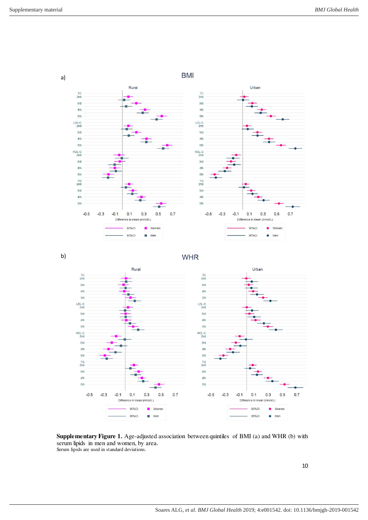a)



**Supplementary Figure 1.** Age-adjusted association between quintiles of BMI (a) and WHR (b) with serum lipids in men and women, by area. Serum lipids are used in standard deviations.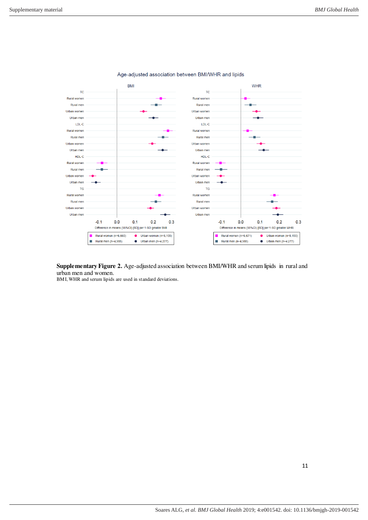

Age-adjusted association between BMI/WHR and lipids

**Supplementary Figure 2.** Age-adjusted association between BMI/WHR and serum lipids in rural and urban men and women.

BMI, WHR and serum lipids are used in standard deviations.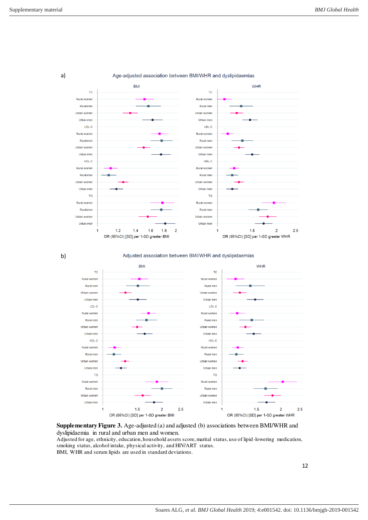a)

b)



Age-adjusted association between BMI/WHR and dyslipidaemias



**Supplementary Figure 3.** Age-adjusted (a) and adjusted (b) associations between BMI/WHR and dyslipidaemia in rural and urban men and women.

Adjusted for age, ethnicity, education, household assets score, marital status, use of lipid -lowering medication, smoking status, alcohol intake, physical activity, and HIV/ART status.

BMI, WHR and serum lipids are used in standard deviations.